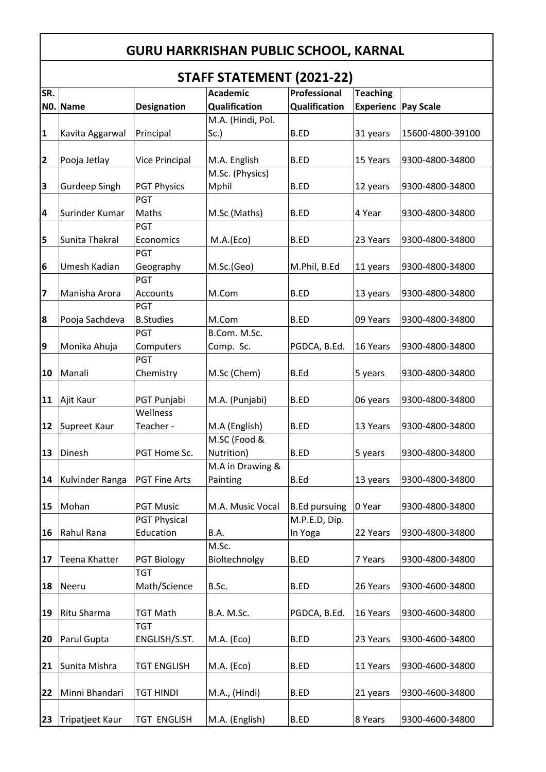## **GURU HARKRISHAN PUBLIC SCHOOL, KARNAL**

## **STAFF STATEMENT (2021-22)**

|                         |                      |                      | JIMI I JIMILIVILIVI (ZUZI-ZZ) |                      |                  |                  |
|-------------------------|----------------------|----------------------|-------------------------------|----------------------|------------------|------------------|
| SR.                     |                      |                      | <b>Academic</b>               | Professional         | <b>Teaching</b>  |                  |
|                         | NO. Name             | <b>Designation</b>   | Qualification                 | Qualification        | <b>Experienc</b> | <b>Pay Scale</b> |
|                         |                      |                      | M.A. (Hindi, Pol.             |                      |                  |                  |
| $\mathbf{1}$            | Kavita Aggarwal      | Principal            | Sc.                           | <b>B.ED</b>          | 31 years         | 15600-4800-39100 |
|                         |                      |                      |                               |                      |                  |                  |
| $\overline{\mathbf{2}}$ | Pooja Jetlay         | Vice Principal       | M.A. English                  | <b>B.ED</b>          | 15 Years         | 9300-4800-34800  |
|                         |                      |                      | M.Sc. (Physics)               |                      |                  |                  |
| 3                       | <b>Gurdeep Singh</b> | <b>PGT Physics</b>   | Mphil                         | <b>B.ED</b>          |                  | 9300-4800-34800  |
|                         |                      |                      |                               |                      | 12 years         |                  |
|                         |                      | PGT                  |                               |                      |                  |                  |
| 4                       | Surinder Kumar       | Maths                | M.Sc (Maths)                  | <b>B.ED</b>          | 4 Year           | 9300-4800-34800  |
|                         |                      | PGT                  |                               |                      |                  |                  |
| 5                       | Sunita Thakral       | Economics            | M.A.(Eco)                     | <b>B.ED</b>          | 23 Years         | 9300-4800-34800  |
|                         |                      | PGT                  |                               |                      |                  |                  |
| 6                       | Umesh Kadian         | Geography            | M.Sc.(Geo)                    | M.Phil, B.Ed         | 11 years         | 9300-4800-34800  |
|                         |                      | PGT                  |                               |                      |                  |                  |
| $\overline{\mathbf{z}}$ | Manisha Arora        | Accounts             | M.Com                         | <b>B.ED</b>          | 13 years         | 9300-4800-34800  |
|                         |                      | PGT                  |                               |                      |                  |                  |
| 8                       | Pooja Sachdeva       | <b>B.Studies</b>     | M.Com                         | <b>B.ED</b>          | 09 Years         | 9300-4800-34800  |
|                         |                      | PGT                  | B.Com. M.Sc.                  |                      |                  |                  |
| 9                       | Monika Ahuja         | Computers            | Comp. Sc.                     | PGDCA, B.Ed.         | 16 Years         | 9300-4800-34800  |
|                         |                      |                      |                               |                      |                  |                  |
|                         |                      | PGT                  |                               |                      |                  |                  |
| 10                      | Manali               | Chemistry            | M.Sc (Chem)                   | <b>B.Ed</b>          | 5 years          | 9300-4800-34800  |
|                         |                      |                      |                               |                      |                  |                  |
| 11                      | Ajit Kaur            | PGT Punjabi          | M.A. (Punjabi)                | <b>B.ED</b>          | 06 years         | 9300-4800-34800  |
|                         |                      | Wellness             |                               |                      |                  |                  |
| 12                      | Supreet Kaur         | Teacher -            | M.A (English)                 | <b>B.ED</b>          | 13 Years         | 9300-4800-34800  |
|                         |                      |                      | M.SC (Food &                  |                      |                  |                  |
| 13                      | Dinesh               | PGT Home Sc.         | Nutrition)                    | <b>B.ED</b>          | 5 years          | 9300-4800-34800  |
|                         |                      |                      | M.A in Drawing &              |                      |                  |                  |
| 14                      | Kulvinder Ranga      | <b>PGT Fine Arts</b> | Painting                      | <b>B.Ed</b>          | 13 years         | 9300-4800-34800  |
|                         |                      |                      |                               |                      |                  |                  |
| 15                      | Mohan                | <b>PGT Music</b>     | M.A. Music Vocal              | <b>B.Ed pursuing</b> | 0 Year           | 9300-4800-34800  |
|                         |                      |                      |                               |                      |                  |                  |
|                         |                      | <b>PGT Physical</b>  |                               | M.P.E.D, Dip.        |                  |                  |
| 16                      | Rahul Rana           | Education            | B.A.                          | In Yoga              | 22 Years         | 9300-4800-34800  |
|                         |                      |                      | M.Sc.                         |                      |                  |                  |
| 17                      | Teena Khatter        | <b>PGT Biology</b>   | Bioltechnolgy                 | B.ED                 | 7 Years          | 9300-4800-34800  |
|                         |                      | <b>TGT</b>           |                               |                      |                  |                  |
| 18                      | Neeru                | Math/Science         | B.Sc.                         | <b>B.ED</b>          | 26 Years         | 9300-4600-34800  |
|                         |                      |                      |                               |                      |                  |                  |
| 19                      | Ritu Sharma          | <b>TGT Math</b>      | B.A. M.Sc.                    | PGDCA, B.Ed.         | 16 Years         | 9300-4600-34800  |
|                         |                      | TGT                  |                               |                      |                  |                  |
| 20                      | Parul Gupta          | ENGLISH/S.ST.        | M.A. (Eco)                    | <b>B.ED</b>          | 23 Years         | 9300-4600-34800  |
|                         |                      |                      |                               |                      |                  |                  |
| 21                      | Sunita Mishra        | <b>TGT ENGLISH</b>   | M.A. (Eco)                    | <b>B.ED</b>          | 11 Years         | 9300-4600-34800  |
|                         |                      |                      |                               |                      |                  |                  |
| 22                      | Minni Bhandari       | <b>TGT HINDI</b>     | M.A., (Hindi)                 | B.ED                 |                  | 9300-4600-34800  |
|                         |                      |                      |                               |                      | 21 years         |                  |
|                         |                      |                      |                               |                      |                  |                  |
| 23                      | Tripatjeet Kaur      | <b>TGT ENGLISH</b>   | M.A. (English)                | <b>B.ED</b>          | 8 Years          | 9300-4600-34800  |